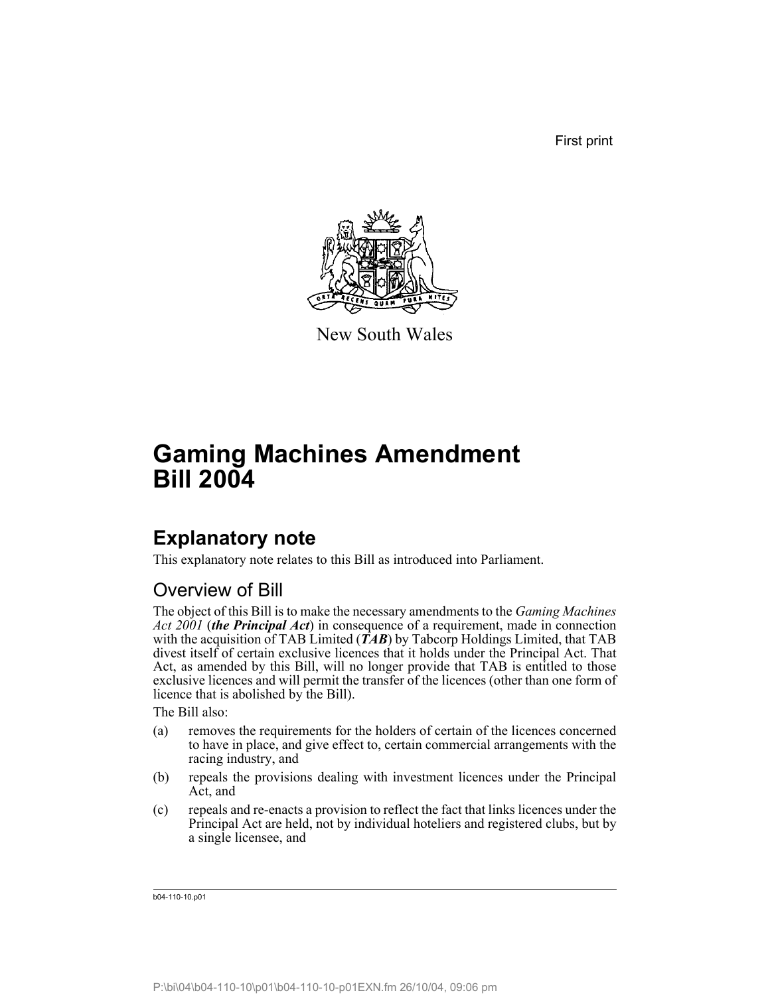First print



New South Wales

# **Gaming Machines Amendment Bill 2004**

## **Explanatory note**

This explanatory note relates to this Bill as introduced into Parliament.

## Overview of Bill

The object of this Bill is to make the necessary amendments to the *Gaming Machines Act 2001* (*the Principal Act*) in consequence of a requirement, made in connection with the acquisition of TAB Limited  $(TAB)$  by Tabcorp Holdings Limited, that TAB divest itself of certain exclusive licences that it holds under the Principal Act. That Act, as amended by this Bill, will no longer provide that TAB is entitled to those exclusive licences and will permit the transfer of the licences (other than one form of licence that is abolished by the Bill).

The Bill also:

- (a) removes the requirements for the holders of certain of the licences concerned to have in place, and give effect to, certain commercial arrangements with the racing industry, and
- (b) repeals the provisions dealing with investment licences under the Principal Act, and
- (c) repeals and re-enacts a provision to reflect the fact that links licences under the Principal Act are held, not by individual hoteliers and registered clubs, but by a single licensee, and

b04-110-10.p01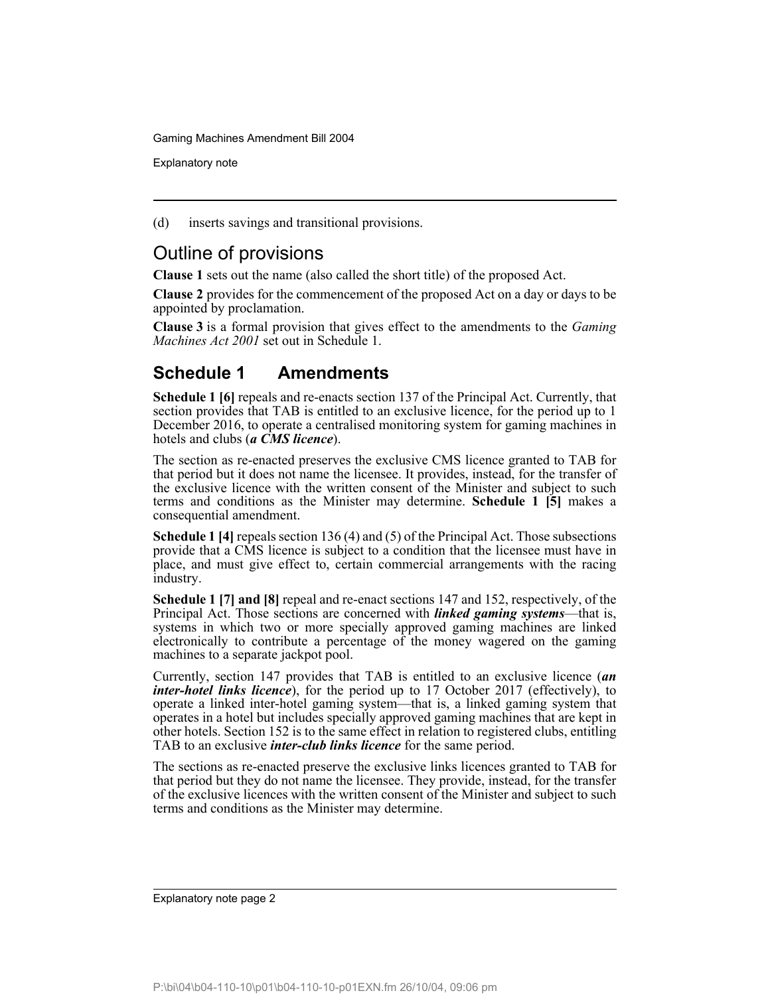Explanatory note

(d) inserts savings and transitional provisions.

## Outline of provisions

**Clause 1** sets out the name (also called the short title) of the proposed Act.

**Clause 2** provides for the commencement of the proposed Act on a day or days to be appointed by proclamation.

**Clause 3** is a formal provision that gives effect to the amendments to the *Gaming Machines Act 2001* set out in Schedule 1.

## **Schedule 1 Amendments**

**Schedule 1 [6]** repeals and re-enacts section 137 of the Principal Act. Currently, that section provides that TAB is entitled to an exclusive licence, for the period up to 1 December 2016, to operate a centralised monitoring system for gaming machines in hotels and clubs (*a CMS licence*).

The section as re-enacted preserves the exclusive CMS licence granted to TAB for that period but it does not name the licensee. It provides, instead, for the transfer of the exclusive licence with the written consent of the Minister and subject to such terms and conditions as the Minister may determine. **Schedule 1 [5]** makes a consequential amendment.

**Schedule 1 [4]** repeals section 136 (4) and (5) of the Principal Act. Those subsections provide that a CMS licence is subject to a condition that the licensee must have in place, and must give effect to, certain commercial arrangements with the racing industry.

**Schedule 1 [7] and [8]** repeal and re-enact sections 147 and 152, respectively, of the Principal Act. Those sections are concerned with *linked gaming systems*—that is, systems in which two or more specially approved gaming machines are linked electronically to contribute a percentage of the money wagered on the gaming machines to a separate jackpot pool.

Currently, section 147 provides that TAB is entitled to an exclusive licence (*an inter-hotel links licence*), for the period up to 17 October 2017 (effectively), to operate a linked inter-hotel gaming system—that is, a linked gaming system that operates in a hotel but includes specially approved gaming machines that are kept in other hotels. Section 152 is to the same effect in relation to registered clubs, entitling TAB to an exclusive *inter-club links licence* for the same period.

The sections as re-enacted preserve the exclusive links licences granted to TAB for that period but they do not name the licensee. They provide, instead, for the transfer of the exclusive licences with the written consent of the Minister and subject to such terms and conditions as the Minister may determine.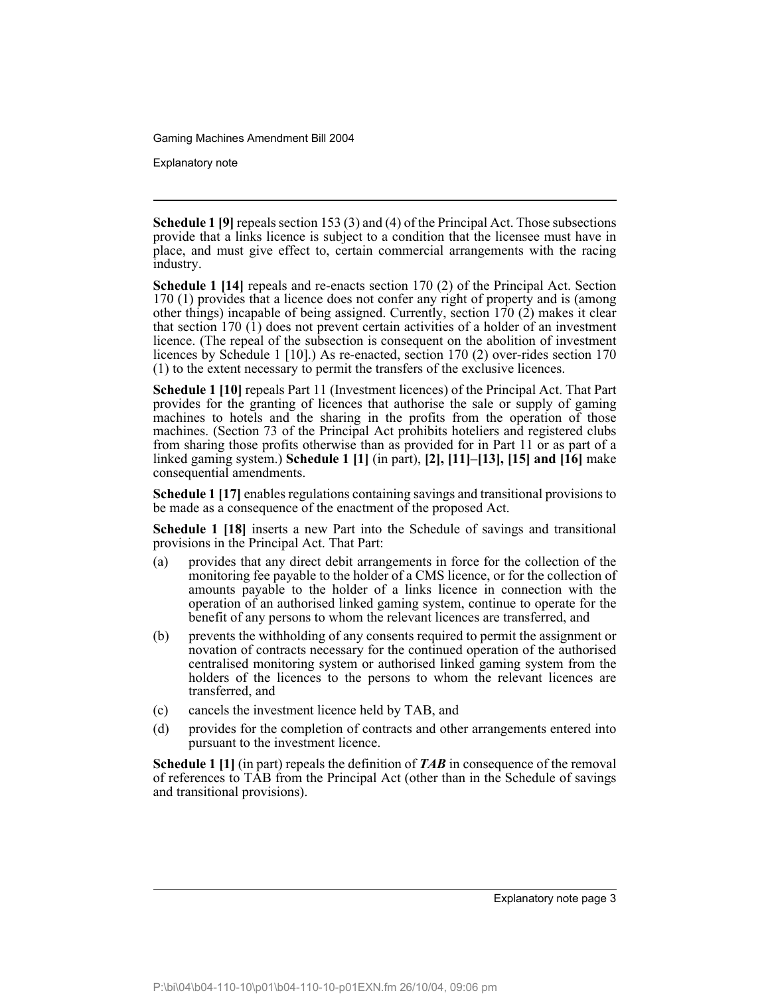Explanatory note

**Schedule 1 [9]** repeals section 153 (3) and (4) of the Principal Act. Those subsections provide that a links licence is subject to a condition that the licensee must have in place, and must give effect to, certain commercial arrangements with the racing industry.

**Schedule 1 [14]** repeals and re-enacts section 170 (2) of the Principal Act. Section 170 (1) provides that a licence does not confer any right of property and is (among other things) incapable of being assigned. Currently, section 170 (2) makes it clear that section 170 (1) does not prevent certain activities of a holder of an investment licence. (The repeal of the subsection is consequent on the abolition of investment licences by Schedule 1 [10].) As re-enacted, section 170 (2) over-rides section 170 (1) to the extent necessary to permit the transfers of the exclusive licences.

**Schedule 1 [10]** repeals Part 11 (Investment licences) of the Principal Act. That Part provides for the granting of licences that authorise the sale or supply of gaming machines to hotels and the sharing in the profits from the operation of those machines. (Section 73 of the Principal Act prohibits hoteliers and registered clubs from sharing those profits otherwise than as provided for in Part 11 or as part of a linked gaming system.) **Schedule 1 [1]** (in part), **[2], [11]–[13], [15] and [16]** make consequential amendments.

**Schedule 1 [17]** enables regulations containing savings and transitional provisions to be made as a consequence of the enactment of the proposed Act.

**Schedule 1 [18]** inserts a new Part into the Schedule of savings and transitional provisions in the Principal Act. That Part:

- (a) provides that any direct debit arrangements in force for the collection of the monitoring fee payable to the holder of a CMS licence, or for the collection of amounts payable to the holder of a links licence in connection with the operation of an authorised linked gaming system, continue to operate for the benefit of any persons to whom the relevant licences are transferred, and
- (b) prevents the withholding of any consents required to permit the assignment or novation of contracts necessary for the continued operation of the authorised centralised monitoring system or authorised linked gaming system from the holders of the licences to the persons to whom the relevant licences are transferred, and
- (c) cancels the investment licence held by TAB, and
- (d) provides for the completion of contracts and other arrangements entered into pursuant to the investment licence.

**Schedule 1** [1] (in part) repeals the definition of **TAB** in consequence of the removal of references to TAB from the Principal Act (other than in the Schedule of savings and transitional provisions).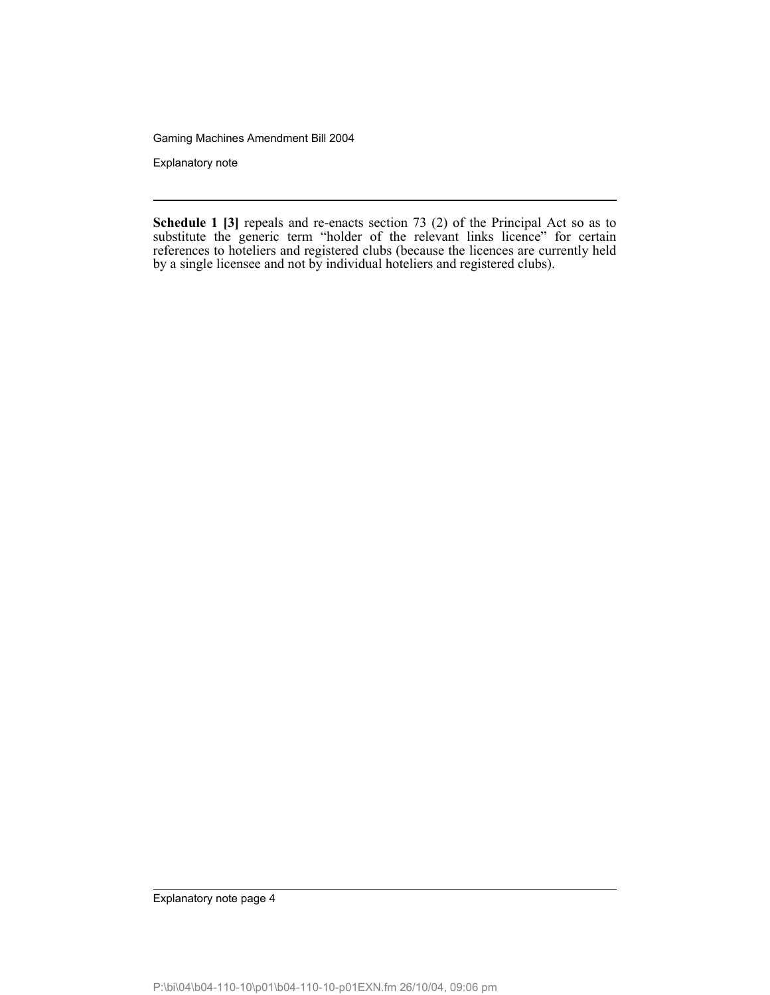Explanatory note

**Schedule 1 [3]** repeals and re-enacts section 73 (2) of the Principal Act so as to substitute the generic term "holder of the relevant links licence" for certain references to hoteliers and registered clubs (because the licences are currently held by a single licensee and not by individual hoteliers and registered clubs).

Explanatory note page 4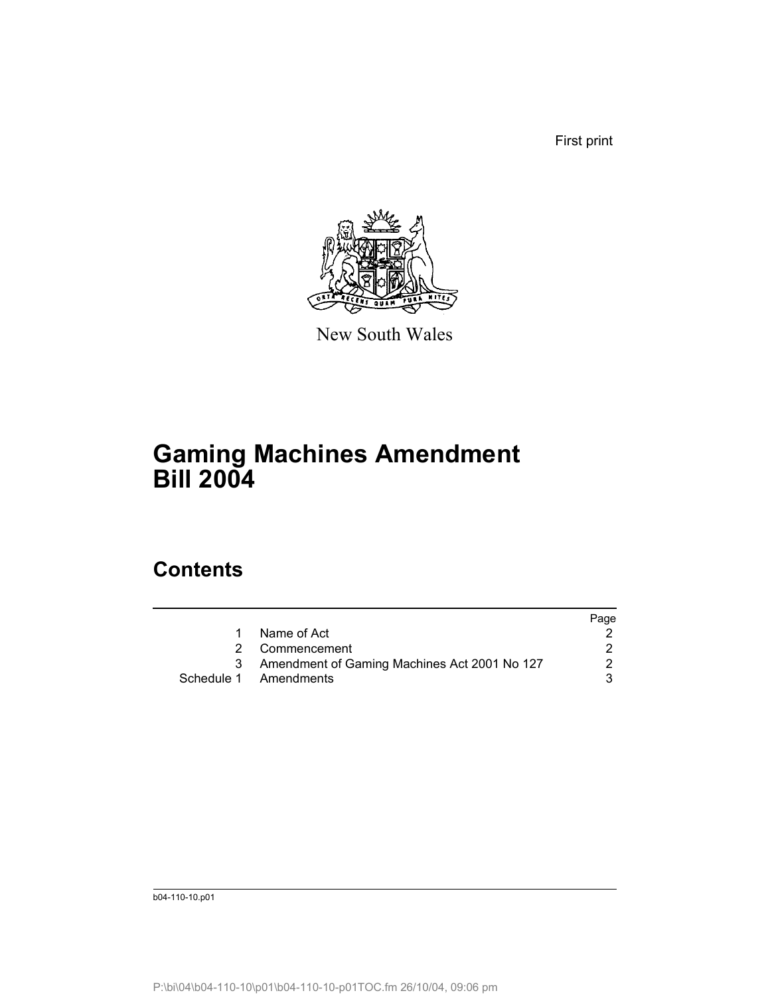First print



New South Wales

# **Gaming Machines Amendment Bill 2004**

## **Contents**

|                                              | Page |
|----------------------------------------------|------|
| Name of Act                                  |      |
| 2 Commencement                               |      |
| Amendment of Gaming Machines Act 2001 No 127 |      |
| Schedule 1 Amendments                        |      |
|                                              |      |

b04-110-10.p01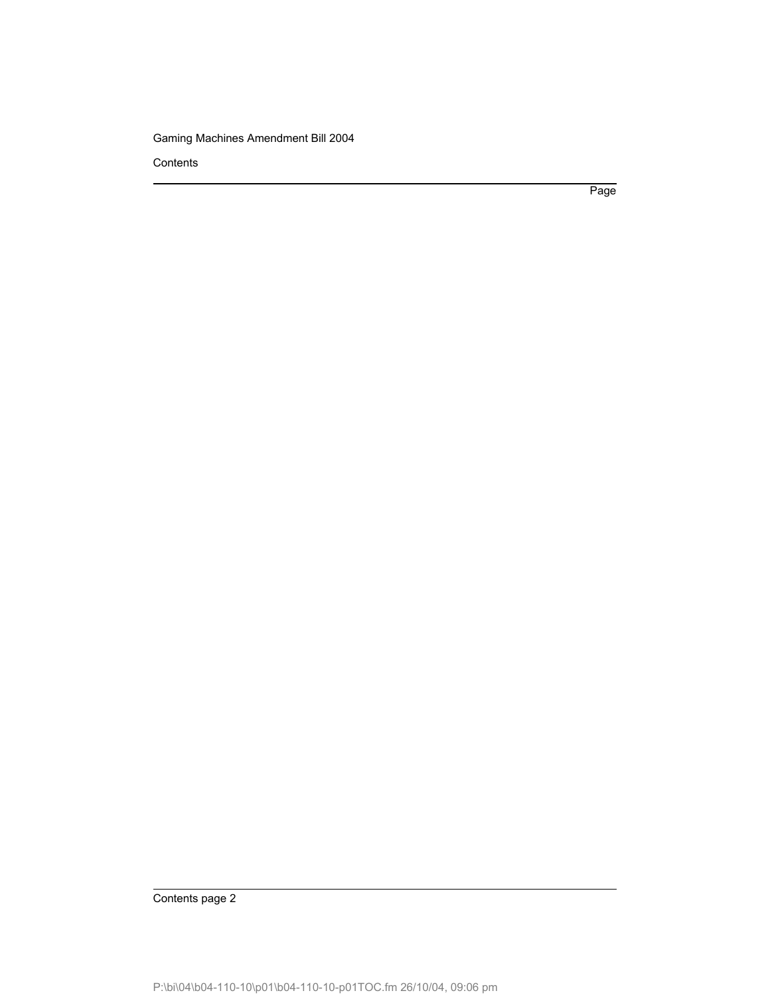**Contents** 

Page

Contents page 2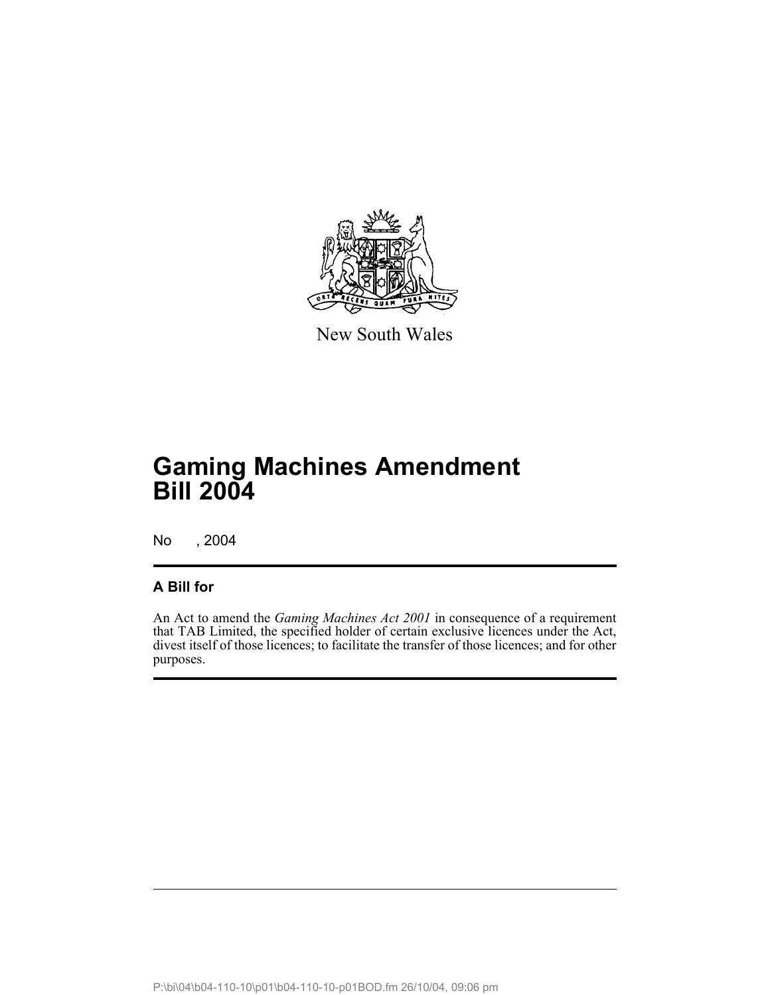

New South Wales

No , 2004

### **A Bill for**

An Act to amend the *Gaming Machines Act 2001* in consequence of a requirement that TAB Limited, the specified holder of certain exclusive licences under the Act, divest itself of those licences; to facilitate the transfer of those licences; and for other purposes.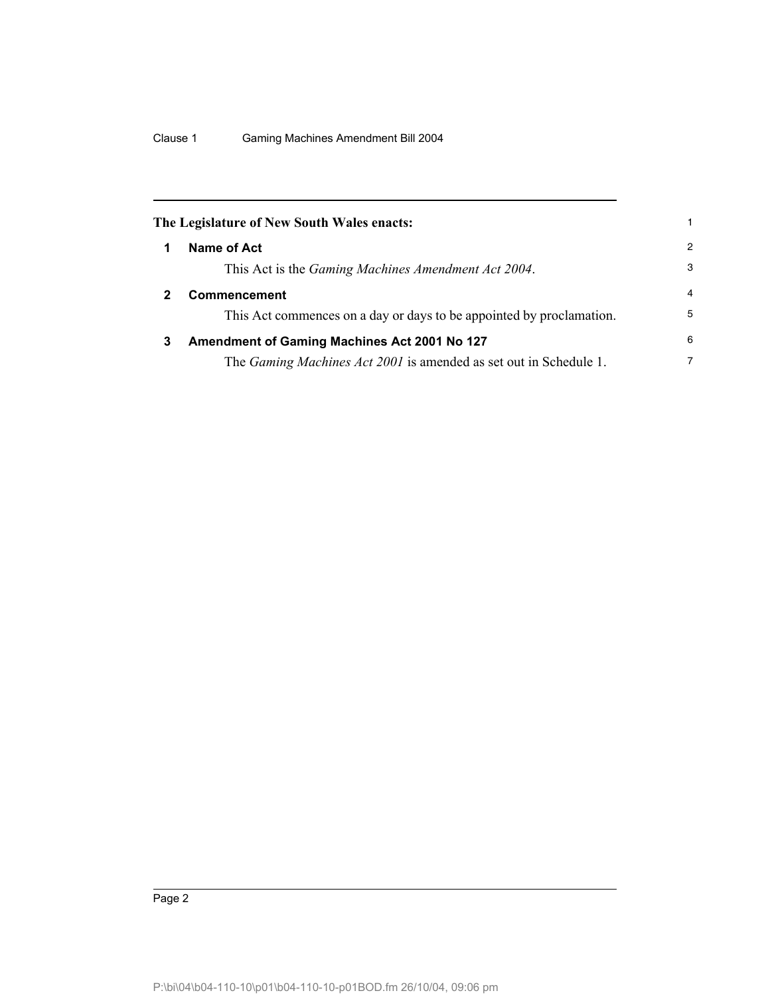<span id="page-7-1"></span><span id="page-7-0"></span>

| The Legislature of New South Wales enacts: |                                                                          |                |
|--------------------------------------------|--------------------------------------------------------------------------|----------------|
| 1                                          | Name of Act                                                              | 2              |
|                                            | This Act is the <i>Gaming Machines Amendment Act 2004</i> .              | 3              |
| $\mathbf{2}$                               | <b>Commencement</b>                                                      | $\overline{4}$ |
|                                            | This Act commences on a day or days to be appointed by proclamation.     | 5              |
| 3                                          | Amendment of Gaming Machines Act 2001 No 127                             | 6              |
|                                            | The <i>Gaming Machines Act 2001</i> is amended as set out in Schedule 1. | 7              |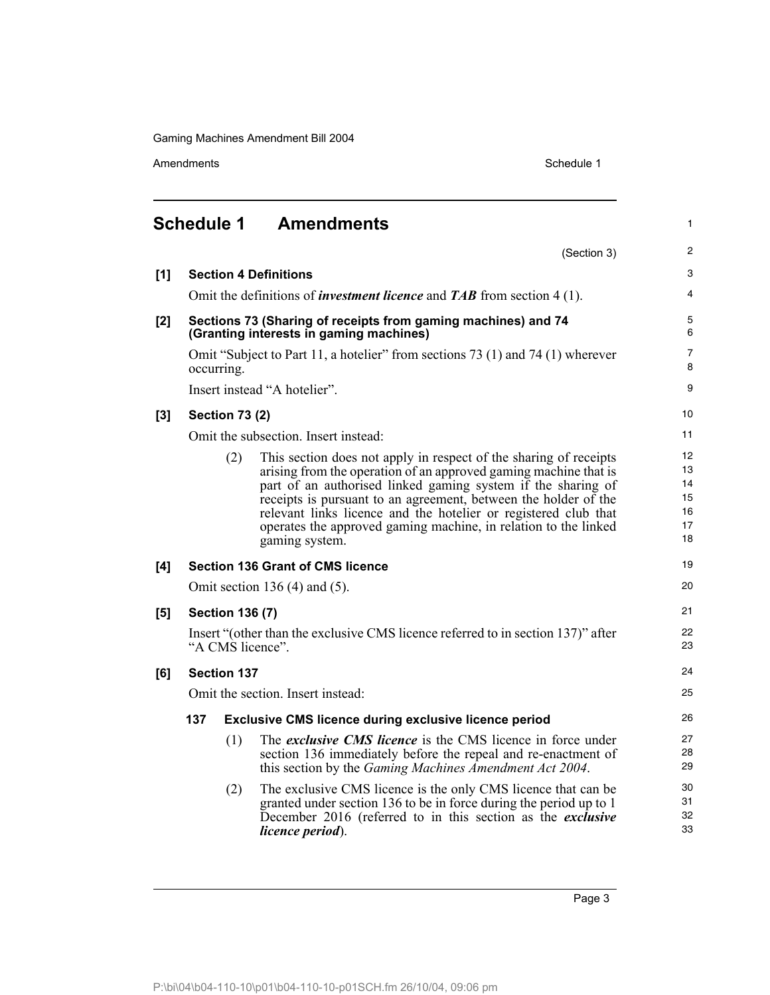Amendments Schedule 1

1

<span id="page-8-0"></span>

| <b>Schedule 1</b><br><b>Amendments</b> |
|----------------------------------------|
|----------------------------------------|

|       |                                   |                       | (Section 3)                                                                                                                                                                                                                                                                                                                                                                                                                      | $\overline{c}$                                      |
|-------|-----------------------------------|-----------------------|----------------------------------------------------------------------------------------------------------------------------------------------------------------------------------------------------------------------------------------------------------------------------------------------------------------------------------------------------------------------------------------------------------------------------------|-----------------------------------------------------|
| [1]   |                                   |                       | <b>Section 4 Definitions</b>                                                                                                                                                                                                                                                                                                                                                                                                     | 3                                                   |
|       |                                   |                       | Omit the definitions of <i>investment licence</i> and <b>TAB</b> from section 4 (1).                                                                                                                                                                                                                                                                                                                                             | 4                                                   |
| [2]   |                                   |                       | Sections 73 (Sharing of receipts from gaming machines) and 74<br>(Granting interests in gaming machines)                                                                                                                                                                                                                                                                                                                         | 5<br>6                                              |
|       |                                   | occurring.            | Omit "Subject to Part 11, a hotelier" from sections 73 (1) and 74 (1) wherever                                                                                                                                                                                                                                                                                                                                                   | $\overline{7}$<br>8                                 |
|       |                                   |                       | Insert instead "A hotelier".                                                                                                                                                                                                                                                                                                                                                                                                     | 9                                                   |
| $[3]$ |                                   | <b>Section 73 (2)</b> |                                                                                                                                                                                                                                                                                                                                                                                                                                  | 10                                                  |
|       |                                   |                       | Omit the subsection. Insert instead:                                                                                                                                                                                                                                                                                                                                                                                             | 11                                                  |
|       |                                   | (2)                   | This section does not apply in respect of the sharing of receipts<br>arising from the operation of an approved gaming machine that is<br>part of an authorised linked gaming system if the sharing of<br>receipts is pursuant to an agreement, between the holder of the<br>relevant links licence and the hotelier or registered club that<br>operates the approved gaming machine, in relation to the linked<br>gaming system. | 12 <sup>2</sup><br>13<br>14<br>15<br>16<br>17<br>18 |
| [4]   |                                   |                       | <b>Section 136 Grant of CMS licence</b>                                                                                                                                                                                                                                                                                                                                                                                          | 19                                                  |
|       |                                   |                       | Omit section 136 $(4)$ and $(5)$ .                                                                                                                                                                                                                                                                                                                                                                                               | 20                                                  |
| [5]   | <b>Section 136 (7)</b>            |                       |                                                                                                                                                                                                                                                                                                                                                                                                                                  | 21                                                  |
|       |                                   |                       | Insert "(other than the exclusive CMS licence referred to in section 137)" after<br>"A CMS licence".                                                                                                                                                                                                                                                                                                                             | 22<br>23                                            |
| [6]   |                                   | <b>Section 137</b>    |                                                                                                                                                                                                                                                                                                                                                                                                                                  | 24                                                  |
|       | Omit the section. Insert instead: |                       |                                                                                                                                                                                                                                                                                                                                                                                                                                  | 25                                                  |
|       | 137                               |                       | <b>Exclusive CMS licence during exclusive licence period</b>                                                                                                                                                                                                                                                                                                                                                                     | 26                                                  |
|       |                                   | (1)                   | The <i>exclusive CMS licence</i> is the CMS licence in force under<br>section 136 immediately before the repeal and re-enactment of<br>this section by the <i>Gaming Machines Amendment Act 2004</i> .                                                                                                                                                                                                                           | 27<br>28<br>29                                      |
|       |                                   | (2)                   | The exclusive CMS licence is the only CMS licence that can be<br>granted under section 136 to be in force during the period up to 1<br>December 2016 (referred to in this section as the exclusive<br><i>licence period</i> ).                                                                                                                                                                                                   | 30<br>31<br>32<br>33                                |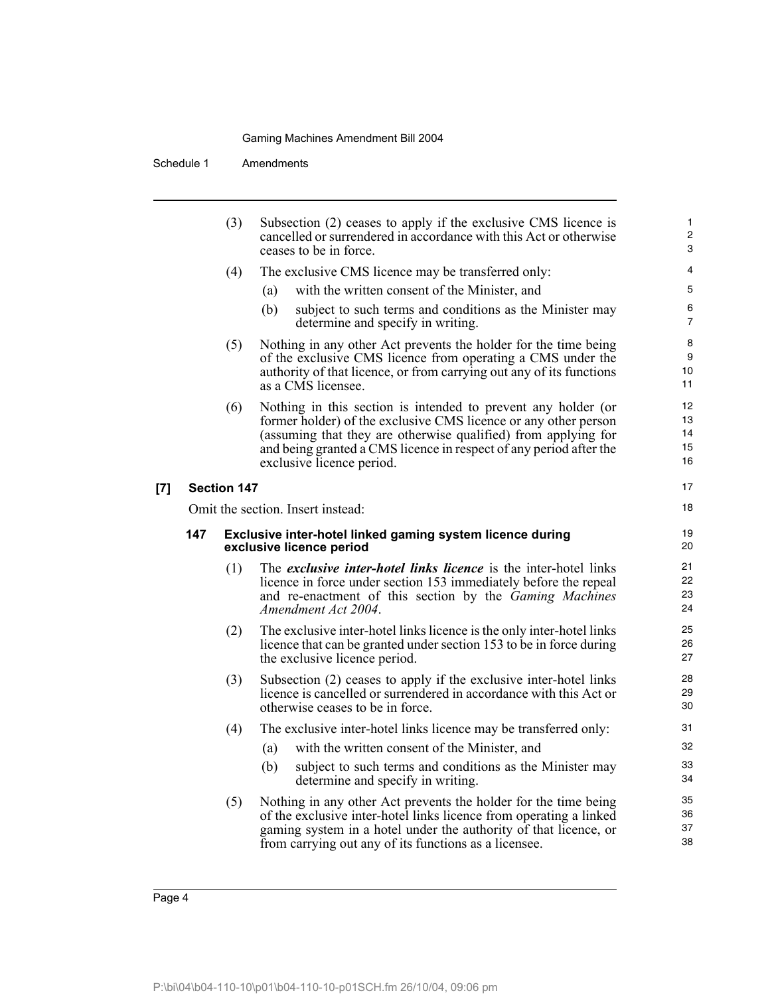Schedule 1 Amendments

|       |                                   | (3)                | Subsection (2) ceases to apply if the exclusive CMS licence is<br>cancelled or surrendered in accordance with this Act or otherwise<br>ceases to be in force.                                                                                                                                         | $\mathbf{1}$<br>$\overline{c}$<br>3 |
|-------|-----------------------------------|--------------------|-------------------------------------------------------------------------------------------------------------------------------------------------------------------------------------------------------------------------------------------------------------------------------------------------------|-------------------------------------|
|       |                                   | (4)                | The exclusive CMS licence may be transferred only:                                                                                                                                                                                                                                                    | $\overline{4}$                      |
|       |                                   |                    | with the written consent of the Minister, and<br>(a)                                                                                                                                                                                                                                                  | 5                                   |
|       |                                   |                    | subject to such terms and conditions as the Minister may<br>(b)<br>determine and specify in writing.                                                                                                                                                                                                  | 6<br>$\overline{7}$                 |
|       |                                   | (5)                | Nothing in any other Act prevents the holder for the time being<br>of the exclusive CMS licence from operating a CMS under the<br>authority of that licence, or from carrying out any of its functions<br>as a CMS licensee.                                                                          | 8<br>9<br>10<br>11                  |
|       |                                   | (6)                | Nothing in this section is intended to prevent any holder (or<br>former holder) of the exclusive CMS licence or any other person<br>(assuming that they are otherwise qualified) from applying for<br>and being granted a CMS licence in respect of any period after the<br>exclusive licence period. | 12<br>13<br>14<br>15<br>16          |
| $[7]$ |                                   | <b>Section 147</b> |                                                                                                                                                                                                                                                                                                       | 17                                  |
|       | Omit the section. Insert instead: |                    |                                                                                                                                                                                                                                                                                                       | 18                                  |
|       | 147                               |                    | Exclusive inter-hotel linked gaming system licence during<br>exclusive licence period                                                                                                                                                                                                                 | 19<br>20                            |
|       |                                   | (1)                | The <i>exclusive inter-hotel links licence</i> is the inter-hotel links<br>licence in force under section 153 immediately before the repeal<br>and re-enactment of this section by the <i>Gaming Machines</i><br>Amendment Act 2004.                                                                  | 21<br>22<br>23<br>24                |
|       |                                   | (2)                | The exclusive inter-hotel links licence is the only inter-hotel links<br>licence that can be granted under section 153 to be in force during<br>the exclusive licence period.                                                                                                                         | 25<br>26<br>27                      |
|       |                                   | (3)                | Subsection (2) ceases to apply if the exclusive inter-hotel links<br>licence is cancelled or surrendered in accordance with this Act or<br>otherwise ceases to be in force.                                                                                                                           | 28<br>29<br>30                      |
|       |                                   | (4)                | The exclusive inter-hotel links licence may be transferred only:                                                                                                                                                                                                                                      | 31                                  |
|       |                                   |                    | with the written consent of the Minister, and<br>(a)                                                                                                                                                                                                                                                  | 32                                  |
|       |                                   |                    | (b)<br>subject to such terms and conditions as the Minister may<br>determine and specify in writing.                                                                                                                                                                                                  | 33<br>34                            |
|       |                                   | (5)                | Nothing in any other Act prevents the holder for the time being<br>of the exclusive inter-hotel links licence from operating a linked<br>gaming system in a hotel under the authority of that licence, or<br>from carrying out any of its functions as a licensee.                                    | 35<br>36<br>37<br>38                |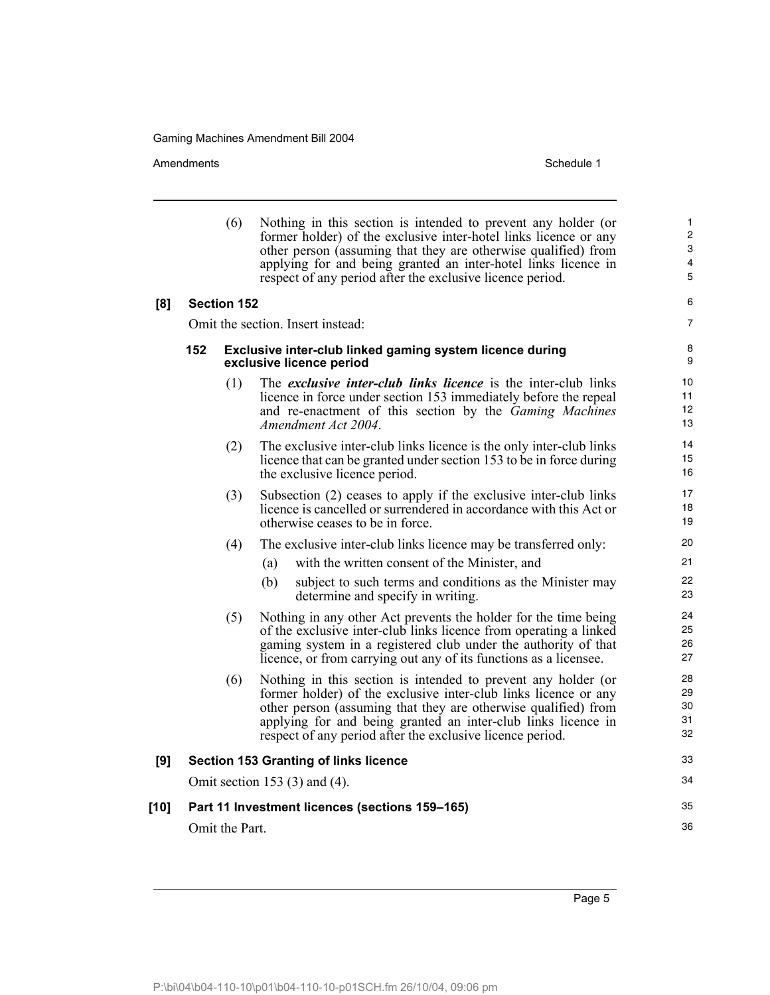Amendments Schedule 1

|      |     | (6)                | Nothing in this section is intended to prevent any holder (or<br>former holder) of the exclusive inter-hotel links licence or any<br>other person (assuming that they are otherwise qualified) from<br>applying for and being granted an inter-hotel links licence in<br>respect of any period after the exclusive licence period. | $\mathbf{1}$<br>$\overline{2}$<br>3<br>$\overline{\mathbf{4}}$<br>5 |
|------|-----|--------------------|------------------------------------------------------------------------------------------------------------------------------------------------------------------------------------------------------------------------------------------------------------------------------------------------------------------------------------|---------------------------------------------------------------------|
| [8]  |     | <b>Section 152</b> |                                                                                                                                                                                                                                                                                                                                    | 6                                                                   |
|      |     |                    | Omit the section. Insert instead:                                                                                                                                                                                                                                                                                                  | $\overline{7}$                                                      |
|      | 152 |                    | Exclusive inter-club linked gaming system licence during<br>exclusive licence period                                                                                                                                                                                                                                               | 8<br>9                                                              |
|      |     | (1)                | The exclusive inter-club links licence is the inter-club links<br>licence in force under section 153 immediately before the repeal<br>and re-enactment of this section by the Gaming Machines<br>Amendment Act 2004.                                                                                                               | 10<br>11<br>12<br>13                                                |
|      |     | (2)                | The exclusive inter-club links licence is the only inter-club links<br>licence that can be granted under section 153 to be in force during<br>the exclusive licence period.                                                                                                                                                        | 14<br>15<br>16                                                      |
|      |     | (3)                | Subsection (2) ceases to apply if the exclusive inter-club links<br>licence is cancelled or surrendered in accordance with this Act or<br>otherwise ceases to be in force.                                                                                                                                                         | 17<br>18<br>19                                                      |
|      |     | (4)                | The exclusive inter-club links licence may be transferred only:<br>with the written consent of the Minister, and<br>(a)                                                                                                                                                                                                            | 20<br>21                                                            |
|      |     |                    | subject to such terms and conditions as the Minister may<br>(b)<br>determine and specify in writing.                                                                                                                                                                                                                               | 22<br>23                                                            |
|      |     | (5)                | Nothing in any other Act prevents the holder for the time being<br>of the exclusive inter-club links licence from operating a linked<br>gaming system in a registered club under the authority of that<br>licence, or from carrying out any of its functions as a licensee.                                                        | 24<br>25<br>26<br>27                                                |
|      |     | (6)                | Nothing in this section is intended to prevent any holder (or<br>former holder) of the exclusive inter-club links licence or any<br>other person (assuming that they are otherwise qualified) from<br>applying for and being granted an inter-club links licence in<br>respect of any period after the exclusive licence period.   | 28<br>29<br>30<br>31<br>32                                          |
| [9]  |     |                    | <b>Section 153 Granting of links licence</b>                                                                                                                                                                                                                                                                                       | 33                                                                  |
|      |     |                    | Omit section 153 $(3)$ and $(4)$ .                                                                                                                                                                                                                                                                                                 | 34                                                                  |
| [10] |     |                    | Part 11 Investment licences (sections 159-165)                                                                                                                                                                                                                                                                                     | 35                                                                  |
|      |     | Omit the Part.     |                                                                                                                                                                                                                                                                                                                                    | 36                                                                  |
|      |     |                    |                                                                                                                                                                                                                                                                                                                                    |                                                                     |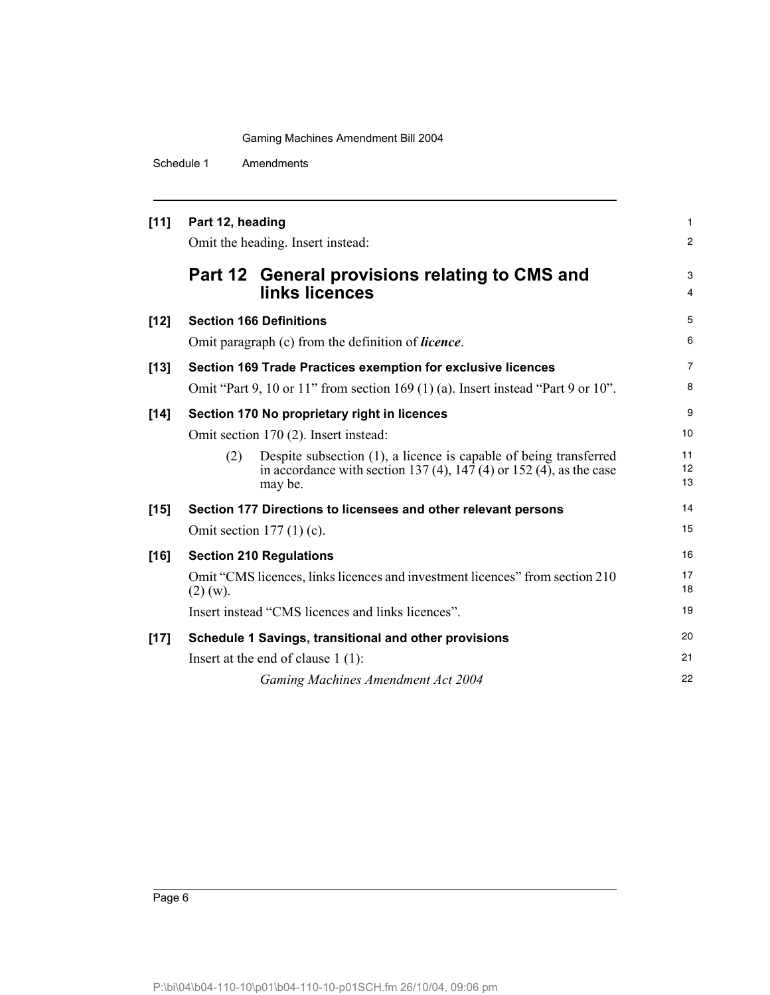Schedule 1 Amendments

| [11]   | Part 12, heading<br>Omit the heading. Insert instead:                                                                                                                                                                                               |                           |  |
|--------|-----------------------------------------------------------------------------------------------------------------------------------------------------------------------------------------------------------------------------------------------------|---------------------------|--|
|        | Part 12 General provisions relating to CMS and<br>links licences                                                                                                                                                                                    | 3<br>4                    |  |
| $[12]$ | <b>Section 166 Definitions</b><br>Omit paragraph (c) from the definition of <i>licence</i> .                                                                                                                                                        | 5<br>6                    |  |
| $[13]$ | Section 169 Trade Practices exemption for exclusive licences<br>Omit "Part 9, 10 or 11" from section 169 (1) (a). Insert instead "Part 9 or 10".                                                                                                    | 7<br>8                    |  |
| $[14]$ | Section 170 No proprietary right in licences<br>Omit section 170 (2). Insert instead:<br>Despite subsection (1), a licence is capable of being transferred<br>(2)<br>in accordance with section 137 (4), 147 (4) or 152 (4), as the case<br>may be. | 9<br>10<br>11<br>12<br>13 |  |
| $[15]$ | Section 177 Directions to licensees and other relevant persons<br>Omit section $177(1)$ (c).                                                                                                                                                        | 14<br>15                  |  |
| $[16]$ | <b>Section 210 Regulations</b><br>Omit "CMS licences, links licences and investment licences" from section 210<br>$(2)$ (w).<br>Insert instead "CMS licences and links licences".                                                                   | 16<br>17<br>18<br>19      |  |
| $[17]$ | Schedule 1 Savings, transitional and other provisions<br>Insert at the end of clause $1(1)$ :<br>Gaming Machines Amendment Act 2004                                                                                                                 | 20<br>21<br>22            |  |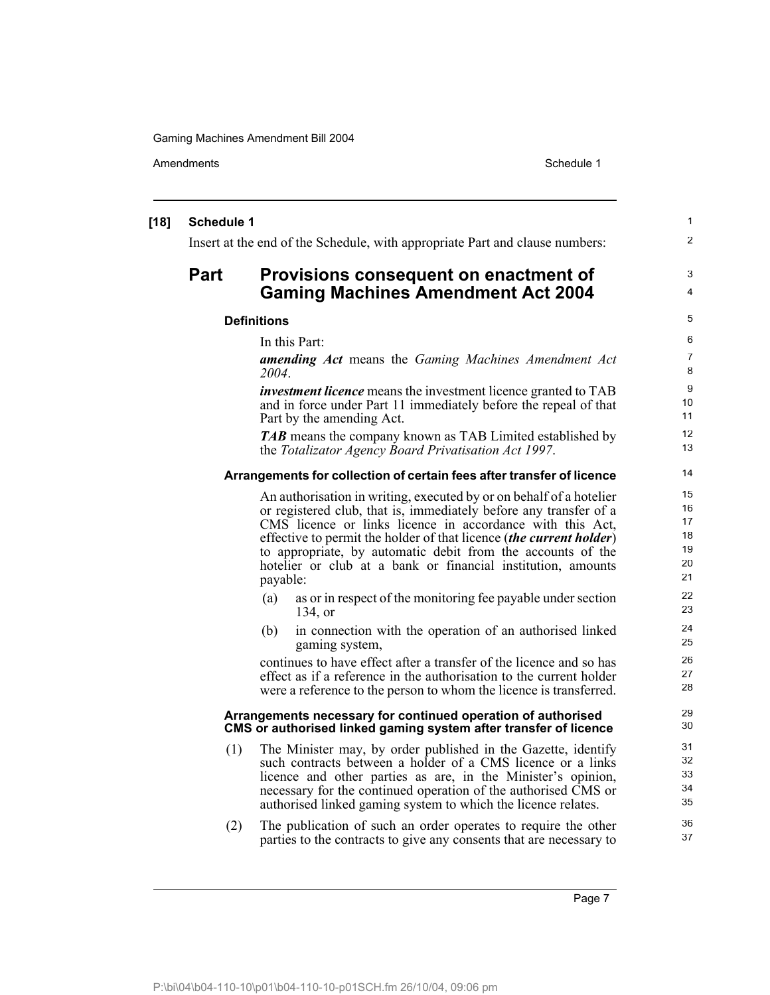Amendments **Amendments** Schedule 1

1  $\overline{2}$ 

3 4

#### **[18] Schedule 1**

Insert at the end of the Schedule, with appropriate Part and clause numbers:

### **Part Provisions consequent on enactment of Gaming Machines Amendment Act 2004**

#### **Definitions**

In this Part:

*amending Act* means the *Gaming Machines Amendment Act 2004*.

*investment licence* means the investment licence granted to TAB and in force under Part 11 immediately before the repeal of that Part by the amending Act.

*TAB* means the company known as TAB Limited established by the *Totalizator Agency Board Privatisation Act 1997*.

#### **Arrangements for collection of certain fees after transfer of licence**

An authorisation in writing, executed by or on behalf of a hotelier or registered club, that is, immediately before any transfer of a CMS licence or links licence in accordance with this Act, effective to permit the holder of that licence (*the current holder*) to appropriate, by automatic debit from the accounts of the hotelier or club at a bank or financial institution, amounts payable:

- (a) as or in respect of the monitoring fee payable under section 134, or
- (b) in connection with the operation of an authorised linked gaming system,

continues to have effect after a transfer of the licence and so has effect as if a reference in the authorisation to the current holder were a reference to the person to whom the licence is transferred.

#### **Arrangements necessary for continued operation of authorised CMS or authorised linked gaming system after transfer of licence**

- (1) The Minister may, by order published in the Gazette, identify such contracts between a holder of a CMS licence or a links licence and other parties as are, in the Minister's opinion, necessary for the continued operation of the authorised CMS or authorised linked gaming system to which the licence relates.
- (2) The publication of such an order operates to require the other parties to the contracts to give any consents that are necessary to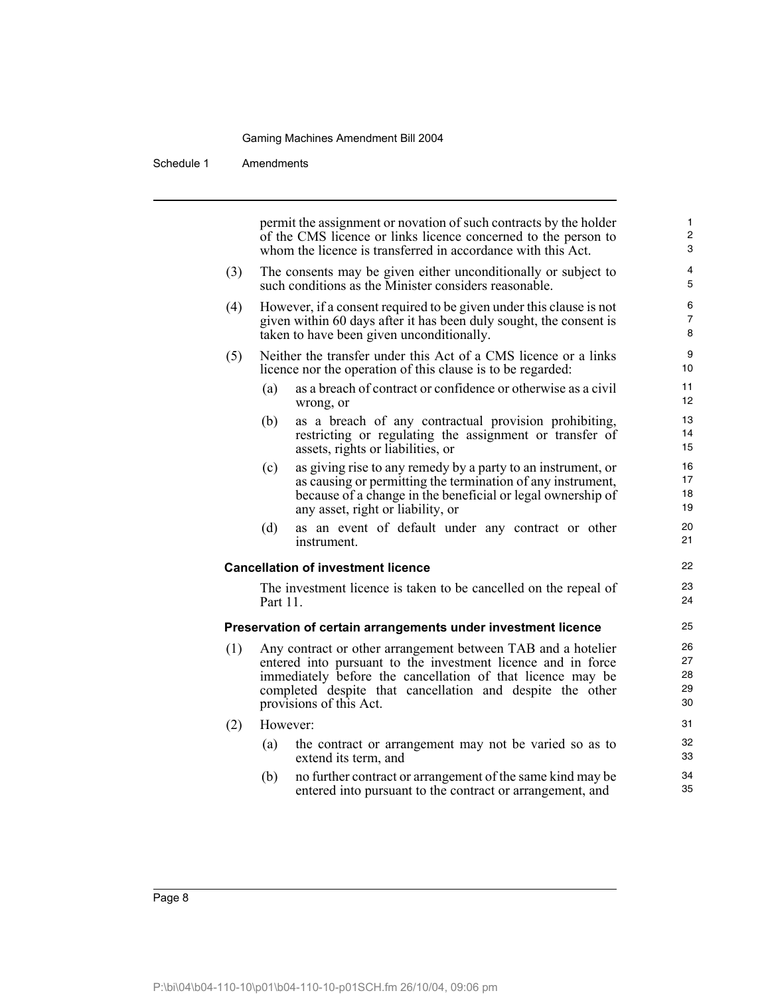Schedule 1 Amendments

permit the assignment or novation of such contracts by the holder of the CMS licence or links licence concerned to the person to whom the licence is transferred in accordance with this Act. (3) The consents may be given either unconditionally or subject to such conditions as the Minister considers reasonable. (4) However, if a consent required to be given under this clause is not given within 60 days after it has been duly sought, the consent is taken to have been given unconditionally. (5) Neither the transfer under this Act of a CMS licence or a links licence nor the operation of this clause is to be regarded: (a) as a breach of contract or confidence or otherwise as a civil wrong, or (b) as a breach of any contractual provision prohibiting, restricting or regulating the assignment or transfer of assets, rights or liabilities, or (c) as giving rise to any remedy by a party to an instrument, or as causing or permitting the termination of any instrument, because of a change in the beneficial or legal ownership of any asset, right or liability, or (d) as an event of default under any contract or other instrument. **Cancellation of investment licence** The investment licence is taken to be cancelled on the repeal of Part 11. **Preservation of certain arrangements under investment licence** (1) Any contract or other arrangement between TAB and a hotelier entered into pursuant to the investment licence and in force immediately before the cancellation of that licence may be completed despite that cancellation and despite the other provisions of this Act. (2) However: (a) the contract or arrangement may not be varied so as to extend its term, and (b) no further contract or arrangement of the same kind may be entered into pursuant to the contract or arrangement, and 1  $\mathfrak{p}$ 3 4 5 6 7 8 9 10 11 12 13 14 15 16 17 18 19 20 21 22 23 24 25 26 27 28 29 30 31 32 33 34 35